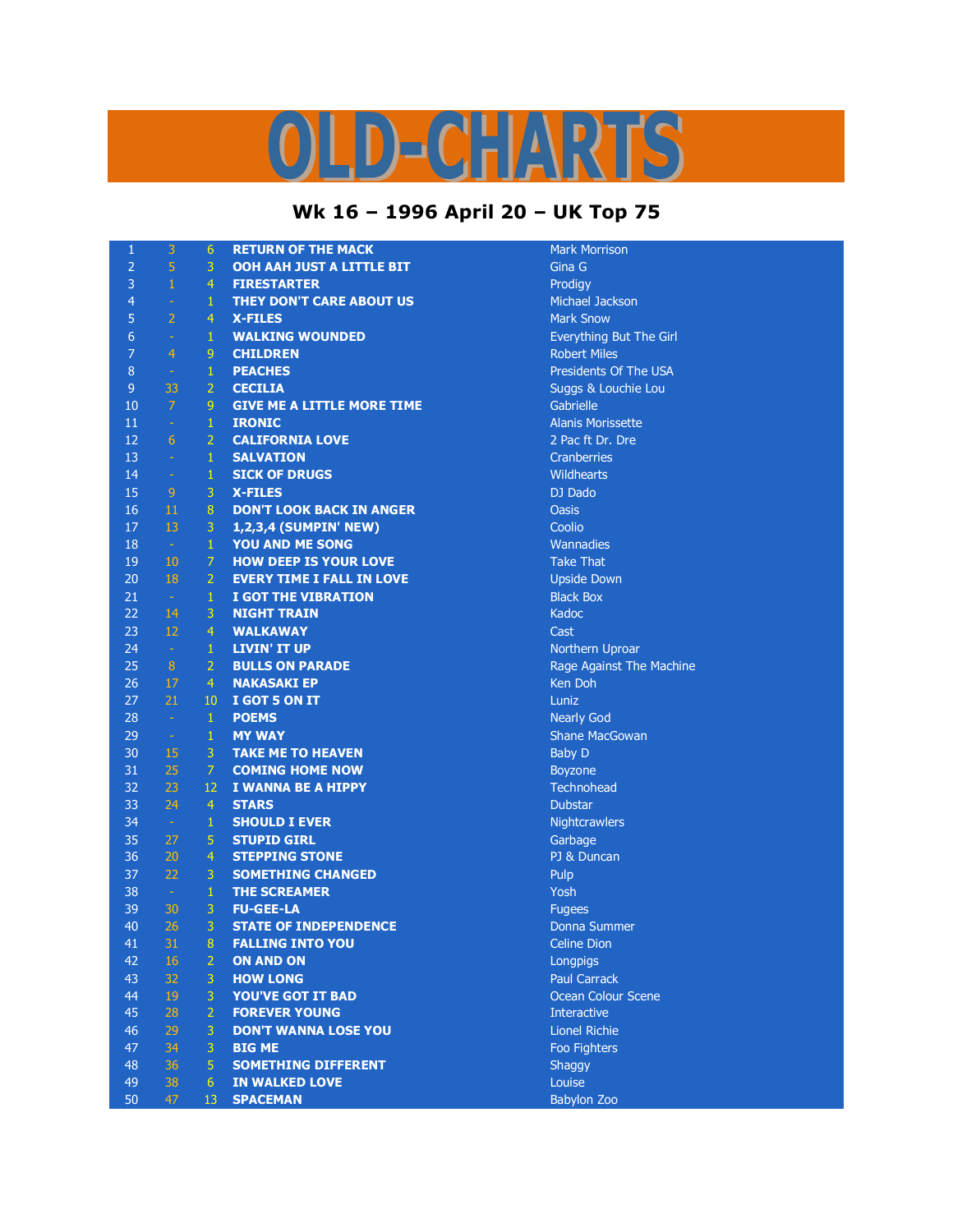## $D = C \cdot \frac{1}{2} \cdot \frac{1}{2} \cdot \frac{1}{2}$ K

## **Wk 16 – 1996 April 20 – UK Top 75**

| $\mathbf{1}$   | 3                | 6              | <b>RETURN OF THE MACK</b>         | <b>Mark Morrisc</b>  |
|----------------|------------------|----------------|-----------------------------------|----------------------|
| $\overline{2}$ | 5                | 3              | OOH AAH JUST A LITTLE BIT         | Gina G               |
| 3              | $\mathbf 1$      | $\overline{4}$ | <b>FIRESTARTER</b>                | Prodigy              |
| $\overline{4}$ | ÷                | $\mathbf{1}$   | THEY DON'T CARE ABOUT US          | Michael Jack         |
| 5              | $\overline{2}$   | $\overline{4}$ | <b>X-FILES</b>                    | <b>Mark Snow</b>     |
| 6              | ÷                | $\mathbf{1}$   | <b>WALKING WOUNDED</b>            | <b>Everything B</b>  |
| $\overline{7}$ | $\overline{4}$   | 9              | <b>CHILDREN</b>                   | <b>Robert Miles</b>  |
| 8              | $\omega$         | $\mathbf{1}$   | <b>PEACHES</b>                    | Presidents O         |
| $\overline{9}$ | 33               | $\overline{2}$ | <b>CECILIA</b>                    | Suggs & Lou          |
| 10             | $\overline{7}$   | 9              | <b>GIVE ME A LITTLE MORE TIME</b> | Gabrielle            |
| 11             | $\omega$         | $\mathbf{1}$   | <b>IRONIC</b>                     | <b>Alanis Moriss</b> |
| 12             | 6                | $\overline{2}$ | <b>CALIFORNIA LOVE</b>            | 2 Pac ft Dr. I       |
| 13             | $\omega$         | $\mathbf{1}$   | <b>SALVATION</b>                  | <b>Cranberries</b>   |
| 14             | $\rightarrow$    | $\mathbf{1}$   | <b>SICK OF DRUGS</b>              | <b>Wildhearts</b>    |
| 15             | 9                | 3              | <b>X-FILES</b>                    | DJ Dado              |
| 16             | 11               | $\bf 8$        | <b>DON'T LOOK BACK IN ANGER</b>   | <b>Oasis</b>         |
| 17             | 13               | 3              | 1,2,3,4 (SUMPIN' NEW)             | Coolio               |
| 18             | $\omega_{\rm c}$ | $\mathbf{1}$   | YOU AND ME SONG                   | Wannadies            |
| 19             | 10               | $\overline{7}$ | <b>HOW DEEP IS YOUR LOVE</b>      | <b>Take That</b>     |
| 20             | 18               | $\overline{2}$ | <b>EVERY TIME I FALL IN LOVE</b>  | <b>Upside Dowr</b>   |
| 21             | $\sim$           | $\mathbf{1}$   | <b>I GOT THE VIBRATION</b>        | <b>Black Box</b>     |
| 22             | 14               | 3              | <b>NIGHT TRAIN</b>                | Kadoc                |
| 23             | 12               | $\overline{4}$ | <b>WALKAWAY</b>                   | Cast                 |
| 24             | $\sim$           | $\mathbf{1}$   | <b>LIVIN' IT UP</b>               | Northern Up          |
| 25             | $\bf 8$          | $\overline{2}$ | <b>BULLS ON PARADE</b>            | Rage Against         |
| 26             | 17               | $\overline{4}$ | <b>NAKASAKI EP</b>                | Ken Doh              |
| 27             | 21               | 10             | I GOT 5 ON IT                     | Luniz                |
| 28             | $\omega$         | $\mathbf{1}$   | <b>POEMS</b>                      | Nearly God           |
| 29             | $\frac{1}{2}$    | $\mathbf{1}$   | <b>MY WAY</b>                     | <b>Shane MacGo</b>   |
| 30             | 15               | 3              | <b>TAKE ME TO HEAVEN</b>          | <b>Baby D</b>        |
| 31             | 25               | $\overline{7}$ | <b>COMING HOME NOW</b>            | Boyzone              |
| 32             | 23               | 12             | I WANNA BE A HIPPY                | Technohead           |
| 33             | 24               | $\overline{4}$ | <b>STARS</b>                      | <b>Dubstar</b>       |
| 34             | $\omega$         | $\mathbf{1}$   | <b>SHOULD I EVER</b>              | Nightcrawler         |
| 35             | 27               | 5              | <b>STUPID GIRL</b>                | Garbage              |
| 36             | 20               | $\overline{4}$ | <b>STEPPING STONE</b>             | PJ & Duncan          |
| 37             | 22               | 3              | <b>SOMETHING CHANGED</b>          | Pulp                 |
| 38             | $\sim$           | $\mathbf{1}$   | <b>THE SCREAMER</b>               | Yosh                 |
| 39             | 30               | 3              | <b>FU-GEE-LA</b>                  | <b>Fugees</b>        |
| 40             | 26               | 3              | <b>STATE OF INDEPENDENCE</b>      | Donna Sumn           |
| 41             | 31               | 8              | <b>FALLING INTO YOU</b>           | <b>Celine Dion</b>   |
| 42             | 16               | $\overline{2}$ | <b>ON AND ON</b>                  | <b>Longpigs</b>      |
| 43             | 32               | 3              | <b>HOW LONG</b>                   | <b>Paul Carrack</b>  |
| 44             | 19               | 3              | <b>YOU'VE GOT IT BAD</b>          | Ocean Colou          |
| 45             | 28               | $\overline{2}$ | <b>FOREVER YOUNG</b>              | Interactive          |
| 46             | 29               | 3              | <b>DON'T WANNA LOSE YOU</b>       | <b>Lionel Richie</b> |
| 47             | 34               | 3              | <b>BIG ME</b>                     | Foo Fighters         |
| 48             | 36               | 5              | <b>SOMETHING DIFFERENT</b>        | Shaggy               |
| 49             | 38               | $6\phantom{1}$ | <b>IN WALKED LOVE</b>             | Louise               |
| 50             | 47               | 13             | <b>SPACEMAN</b>                   | <b>Babylon Zoo</b>   |

**Mark Morrison Michael Jackson Mark Snow** Everything But The Girl **Robert Miles Presidents Of The USA** Suggs & Louchie Lou Gabrielle **Alanis Morissette** 2 Pac ft Dr. Dre **Cranberries Wildhearts Wannadies Take That Upside Down Northern Uproar** Rage Against The Machine **Ken Doh Nearly God Shane MacGowan Boyzone** Technohead **Nightcrawlers Garbage** PJ & Duncan Donna Summer **Celine Dion** Longpigs Paul Carrack **Ocean Colour Scene** Interactive **Lionel Richie Foo Fighters**